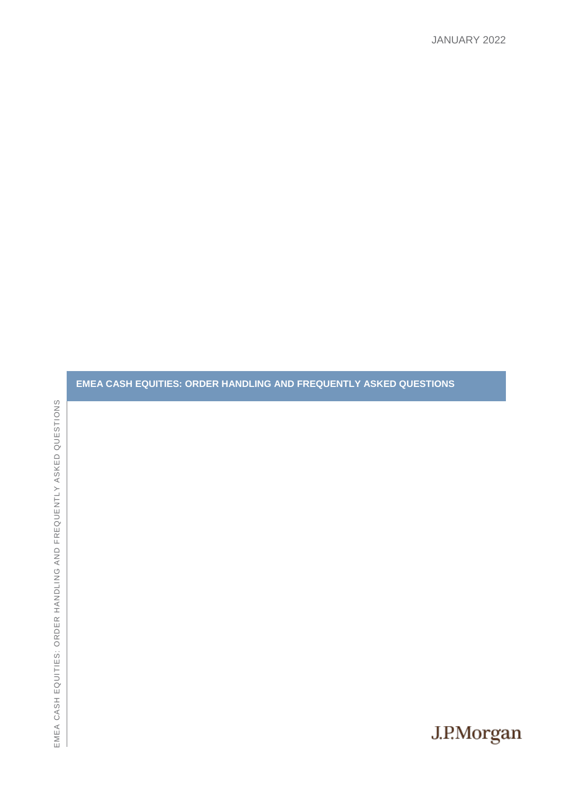# EMEA CASH EQUITIES: ORDER HANDLING AND FREQUENTLY ASKED QUESTIONS REQUENTLY ASKED QUESTIONSEMEA CASH EQUITIES: ORDER HANDLING AND F

**EMEA CASH EQUITIES: ORDER HANDLING AND FREQUENTLY ASKED QUESTIONS**

J.P.Morgan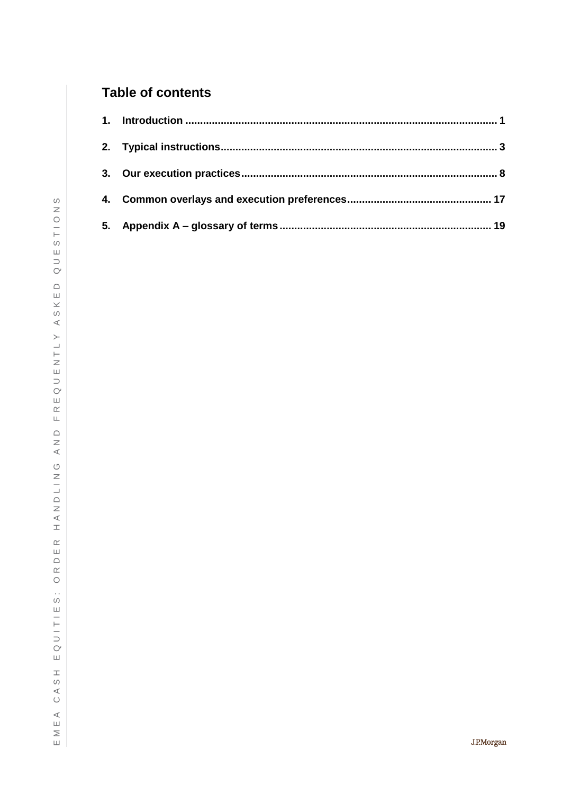# **Table of contents**

| 5. |  |
|----|--|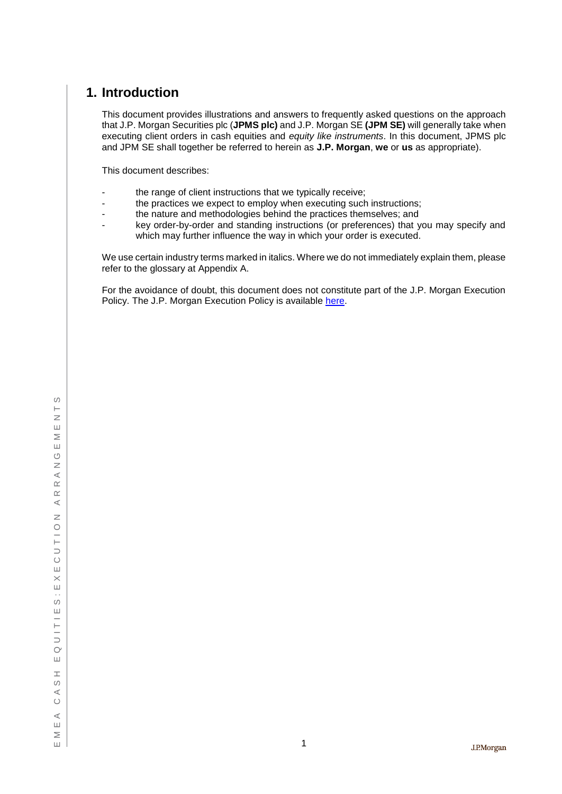# <span id="page-2-0"></span>**1. Introduction**

This document provides illustrations and answers to frequently asked questions on the approach that J.P. Morgan Securities plc (**JPMS plc)** and J.P. Morgan SE **(JPM SE)** will generally take when executing client orders in cash equities and *equity like instruments*. In this document, JPMS plc and JPM SE shall together be referred to herein as **J.P. Morgan**, **we** or **us** as appropriate).

This document describes:

- the range of client instructions that we typically receive;
- the practices we expect to employ when executing such instructions;
- the nature and methodologies behind the practices themselves; and
- key order-by-order and standing instructions (or preferences) that you may specify and which may further influence the way in which your order is executed.

We use certain industry terms marked in italics. Where we do not immediately explain them, please refer to the glossary at Appendix A.

For the avoidance of doubt, this document does not constitute part of the J.P. Morgan Execution Policy. The J.P. Morgan Execution Policy is available [here.](https://www.jpmorgan.com/directdoc/mifidii-appendix2-cash-equities-policy.pdf)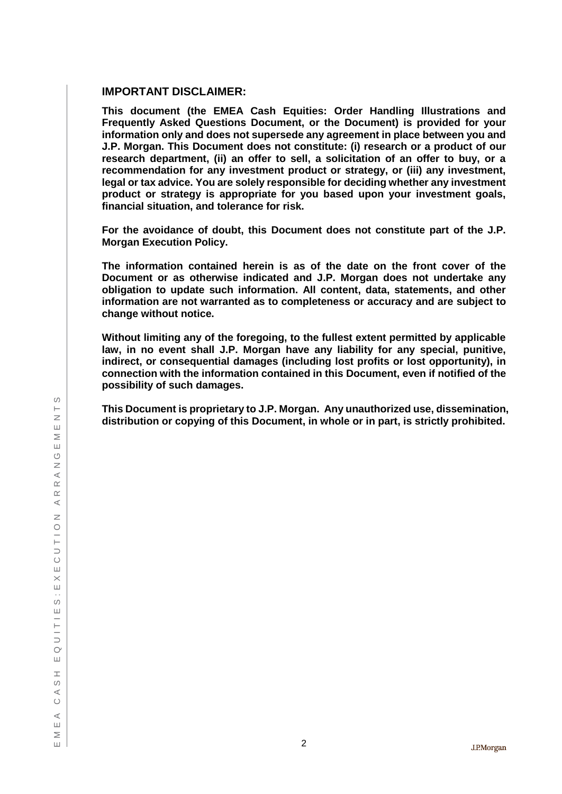## **IMPORTANT DISCLAIMER:**

**This document (the EMEA Cash Equities: Order Handling Illustrations and Frequently Asked Questions Document, or the Document) is provided for your information only and does not supersede any agreement in place between you and J.P. Morgan. This Document does not constitute: (i) research or a product of our research department, (ii) an offer to sell, a solicitation of an offer to buy, or a recommendation for any investment product or strategy, or (iii) any investment, legal or tax advice. You are solely responsible for deciding whether any investment product or strategy is appropriate for you based upon your investment goals, financial situation, and tolerance for risk.**

**For the avoidance of doubt, this Document does not constitute part of the J.P. Morgan Execution Policy.**

**The information contained herein is as of the date on the front cover of the Document or as otherwise indicated and J.P. Morgan does not undertake any obligation to update such information. All content, data, statements, and other information are not warranted as to completeness or accuracy and are subject to change without notice.**

**Without limiting any of the foregoing, to the fullest extent permitted by applicable law, in no event shall J.P. Morgan have any liability for any special, punitive, indirect, or consequential damages (including lost profits or lost opportunity), in connection with the information contained in this Document, even if notified of the possibility of such damages.**

**This Document is proprietary to J.P. Morgan. Any unauthorized use, dissemination, distribution or copying of this Document, in whole or in part, is strictly prohibited.**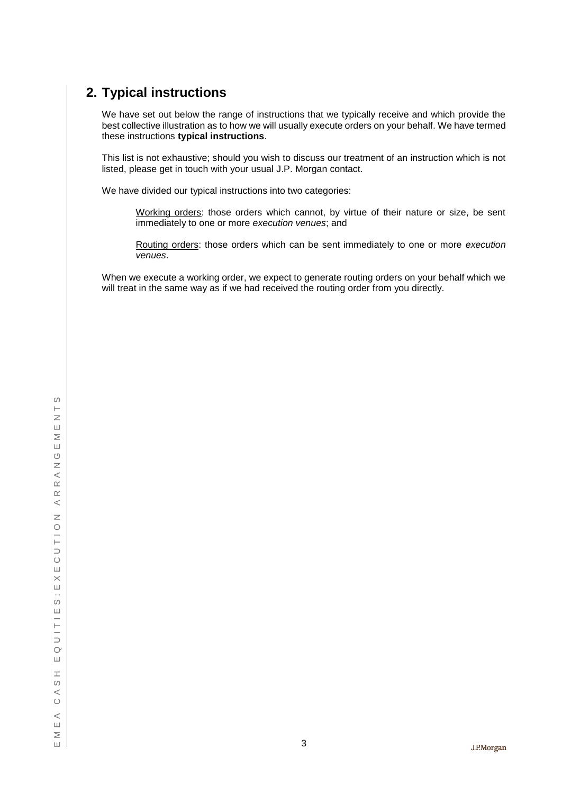# <span id="page-4-0"></span>**2. Typical instructions**

We have set out below the range of instructions that we typically receive and which provide the best collective illustration as to how we will usually execute orders on your behalf. We have termed these instructions **typical instructions**.

This list is not exhaustive; should you wish to discuss our treatment of an instruction which is not listed, please get in touch with your usual J.P. Morgan contact.

We have divided our typical instructions into two categories:

Working orders: those orders which cannot, by virtue of their nature or size, be sent immediately to one or more *execution venues*; and

Routing orders: those orders which can be sent immediately to one or more *execution venues*.

When we execute a working order, we expect to generate routing orders on your behalf which we will treat in the same way as if we had received the routing order from you directly.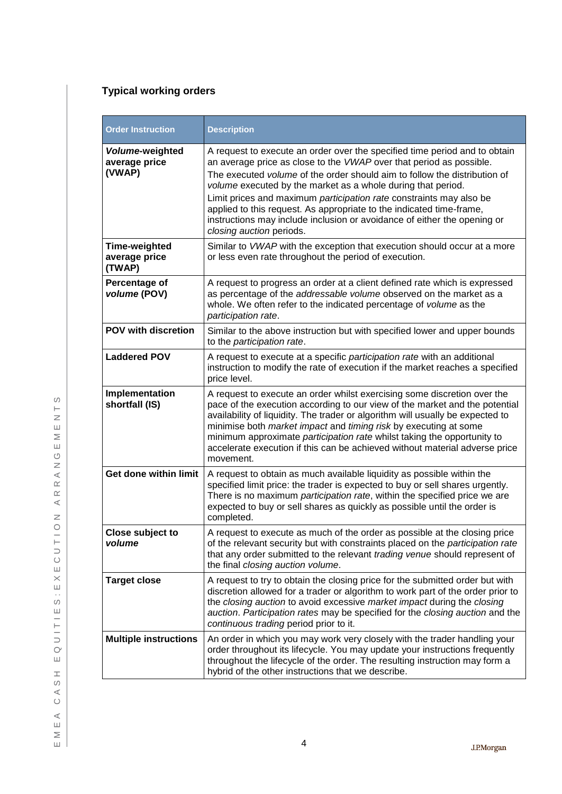# **Typical working orders**

| <b>Order Instruction</b>                        | <b>Description</b>                                                                                                                                                                                                                                                                                                                                                                                                                                                                                                                                    |
|-------------------------------------------------|-------------------------------------------------------------------------------------------------------------------------------------------------------------------------------------------------------------------------------------------------------------------------------------------------------------------------------------------------------------------------------------------------------------------------------------------------------------------------------------------------------------------------------------------------------|
| Volume-weighted<br>average price<br>(VWAP)      | A request to execute an order over the specified time period and to obtain<br>an average price as close to the VWAP over that period as possible.<br>The executed volume of the order should aim to follow the distribution of<br>volume executed by the market as a whole during that period.<br>Limit prices and maximum participation rate constraints may also be<br>applied to this request. As appropriate to the indicated time-frame,<br>instructions may include inclusion or avoidance of either the opening or<br>closing auction periods. |
| <b>Time-weighted</b><br>average price<br>(TWAP) | Similar to VWAP with the exception that execution should occur at a more<br>or less even rate throughout the period of execution.                                                                                                                                                                                                                                                                                                                                                                                                                     |
| Percentage of<br>volume (POV)                   | A request to progress an order at a client defined rate which is expressed<br>as percentage of the addressable volume observed on the market as a<br>whole. We often refer to the indicated percentage of volume as the<br>participation rate.                                                                                                                                                                                                                                                                                                        |
| <b>POV with discretion</b>                      | Similar to the above instruction but with specified lower and upper bounds<br>to the participation rate.                                                                                                                                                                                                                                                                                                                                                                                                                                              |
| <b>Laddered POV</b>                             | A request to execute at a specific participation rate with an additional<br>instruction to modify the rate of execution if the market reaches a specified<br>price level.                                                                                                                                                                                                                                                                                                                                                                             |
| Implementation<br>shortfall (IS)                | A request to execute an order whilst exercising some discretion over the<br>pace of the execution according to our view of the market and the potential<br>availability of liquidity. The trader or algorithm will usually be expected to<br>minimise both <i>market impact</i> and <i>timing risk</i> by executing at some<br>minimum approximate participation rate whilst taking the opportunity to<br>accelerate execution if this can be achieved without material adverse price<br>movement.                                                    |
| Get done within limit                           | A request to obtain as much available liquidity as possible within the<br>specified limit price: the trader is expected to buy or sell shares urgently.<br>There is no maximum participation rate, within the specified price we are<br>expected to buy or sell shares as quickly as possible until the order is<br>completed.                                                                                                                                                                                                                        |
| Close subject to<br>volume                      | A request to execute as much of the order as possible at the closing price<br>of the relevant security but with constraints placed on the participation rate<br>that any order submitted to the relevant trading venue should represent of<br>the final closing auction volume.                                                                                                                                                                                                                                                                       |
| <b>Target close</b>                             | A request to try to obtain the closing price for the submitted order but with<br>discretion allowed for a trader or algorithm to work part of the order prior to<br>the closing auction to avoid excessive market impact during the closing<br>auction. Participation rates may be specified for the closing auction and the<br>continuous trading period prior to it.                                                                                                                                                                                |
| <b>Multiple instructions</b>                    | An order in which you may work very closely with the trader handling your<br>order throughout its lifecycle. You may update your instructions frequently<br>throughout the lifecycle of the order. The resulting instruction may form a<br>hybrid of the other instructions that we describe.                                                                                                                                                                                                                                                         |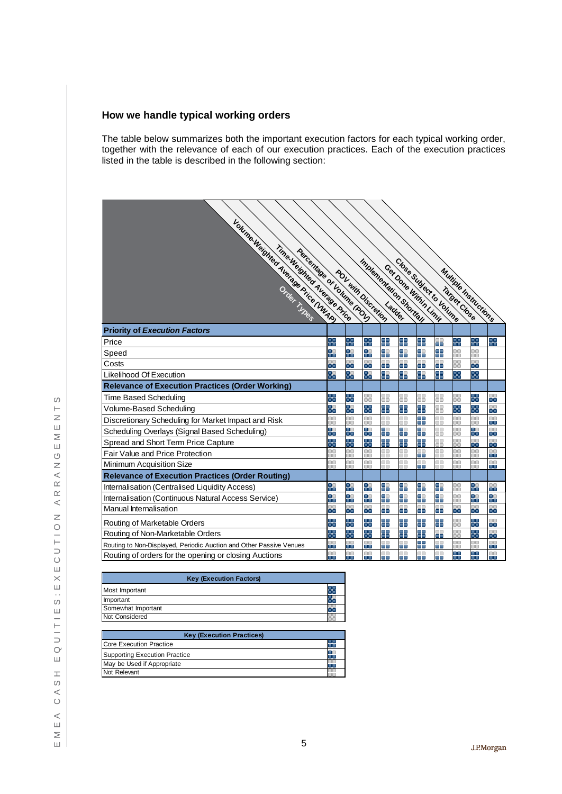## **How we handle typical working orders**

The table below summarizes both the important execution factors for each typical working order, together with the relevance of each of our execution practices. Each of the execution practices listed in the table is described in the following section:

| Volume Weight Avenue Price (VWAIA)<br>Time Weighted Average Price<br>Percentage of Volume (POV) |           | POL with Discretion | Imperience of Shortfull |              |                  |                 | Close Subject to Volume<br>Get Done Within Limit |           | <b>Multiple Instituctions</b> |           |
|-------------------------------------------------------------------------------------------------|-----------|---------------------|-------------------------|--------------|------------------|-----------------|--------------------------------------------------|-----------|-------------------------------|-----------|
| <b>Priority of Execution Factors</b>                                                            |           |                     |                         |              |                  |                 |                                                  |           |                               |           |
| Price                                                                                           | H         | 내                   | 92<br>21                | 내            | u u              | œ<br>画面         | H                                                | 맖         | 믦                             | ÷         |
| Speed                                                                                           | H         | Ŧ                   | 9                       | B.           | 9                | $\bullet$<br>۵ē | Ŧ                                                | 00<br>۰o  | 0O<br>۰o                      |           |
| Costs                                                                                           | 88        | 3                   | 88                      | 8            | 88               | 8               | 8                                                | 88        | 8                             |           |
| Likelihood Of Execution                                                                         | 8         | 3                   | 묾                       | ÷            | ٢Ē               | 35              | ÷                                                | ÷         | 85                            |           |
| <b>Relevance of Execution Practices (Order Working)</b>                                         |           |                     |                         |              |                  |                 |                                                  |           |                               |           |
| Time Based Scheduling                                                                           | Ŧ         | E.                  | ٦O<br>ōō                | 00<br>٦ō     | 88               | œ<br>٦O         | ٥o<br>ōō                                         | D٥<br>ĎŌ  | 95                            | IО<br>۸a  |
| Volume-Based Scheduling                                                                         | 8         | 5                   | 9                       | 95           | ٦Į.              | 55              | 88                                               | ٢F        | 85                            | ٦n<br>m۳  |
| Discretionary Scheduling for Market Impact and Risk                                             | DΟ<br>חר  | oo                  | oo<br>٦O                | 0O<br>٦O     | 88               | 95              | oo<br>٦o                                         | 88        | 88                            | חר<br>۵   |
| Scheduling Overlays (Signal Based Scheduling)                                                   | H         | ٦.                  | g.                      | ٢t           | 9                | H               | oo<br>הר                                         | 88        | 98                            | DО<br>me  |
| Spread and Short Term Price Capture                                                             | ¥         | ۳Ţ                  | 5                       | ÷            | ٦Į.              | 믦               | DO.<br>٦ō                                        | oo<br>٦ō  | 88                            | ٦O<br>۰ı  |
| Fair Value and Price Protection                                                                 | 0O<br>٦ñ  | oo<br>n             | oo<br>הר                | 0O<br>הר     | 88               | DO.<br>۸ō       | DO.<br>הר                                        | oo<br>הר  | oo<br>DО                      | DО<br>۲¢  |
| Minimum Acquisition Size                                                                        | DO.<br>٦O | ۵o<br>n m           | DO<br>DΩ                | $\Box$<br>٦O | $\Box$<br>$\Box$ | 8               | DΟ<br>no                                         | DO.<br>0O | ٦O<br>٦O                      | ם<br>m m  |
| <b>Relevance of Execution Practices (Order Routing)</b>                                         |           |                     |                         |              |                  |                 |                                                  |           |                               |           |
| Internalisation (Centralised Liquidity Access)                                                  | 9         | 85                  | 9                       | 85           | 98               | H               | 9                                                | 88        | ¥                             | ٦O<br>56  |
| Internalisation (Continuous Natural Access Service)                                             | H         | ٦I                  | 8                       | 90           | TT<br>90         | 8               | H                                                | 88        | 8                             | m m<br>ū۵ |
| Manual Internalisation                                                                          | 8         | 8                   | 88                      | oo<br>ōō     | 3                | DO.<br>O۵       | ٥o<br>œ۵                                         | 8         | 88                            | n o<br>Œ  |
| Routing of Marketable Orders                                                                    | ¥         | H                   | 5                       | 95           | ÷                | 읽               | 55                                               | 88        | 읽                             | ٦O<br>۲Œ  |
| Routing of Non-Marketable Orders                                                                | 8         | Ŧ                   | g.                      | Ŧ            | Ŧ                | ۸O<br>۸O        | oo<br>œ۵                                         | oo<br>٦n  | 25<br>د ا                     | DО<br>Œ   |
| Routing to Non-Displayed, Periodic Auction and Other Passive Venues                             | 8         | oo<br>œ             | 88                      | 88           | 88               | 88              | oo<br>$\blacksquare$                             | 85        | oo<br>٦O                      | סכ<br>Œ   |
| Routing of orders for the opening or closing Auctions                                           | 8         | 8                   | 8                       | 8            | 8                | 88              | 8                                                | E.        | 8                             | 00<br>ō٥  |

| <b>Key (Execution Factors)</b> |  |  |  |  |  |
|--------------------------------|--|--|--|--|--|
| Most Important                 |  |  |  |  |  |
| Important                      |  |  |  |  |  |
| Somewhat Important             |  |  |  |  |  |
| Not Considered                 |  |  |  |  |  |

| <b>Key (Execution Practices)</b> |  |  |
|----------------------------------|--|--|
| <b>Core Execution Practice</b>   |  |  |
| Supporting Execution Practice    |  |  |
| May be Used if Appropriate       |  |  |
| Not Relevant                     |  |  |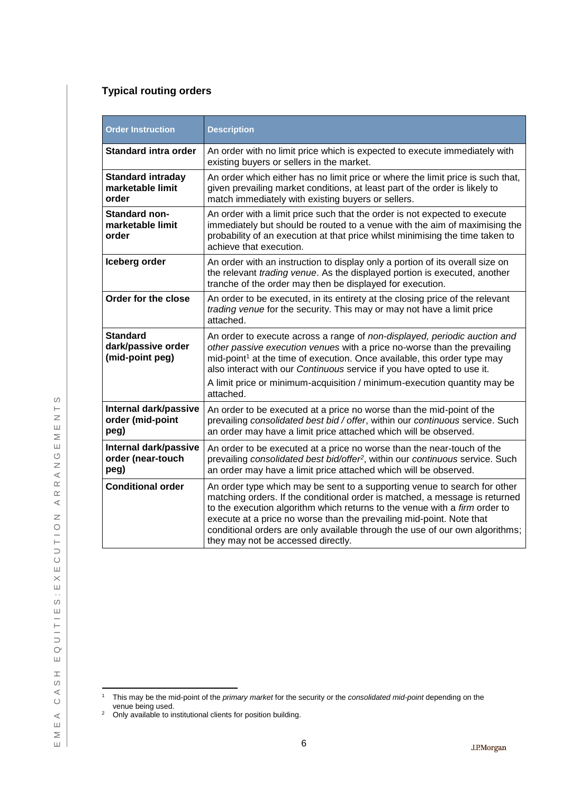## **Typical routing orders**

| <b>Order Instruction</b>                                 | <b>Description</b>                                                                                                                                                                                                                                                                                                                                                                                                                   |
|----------------------------------------------------------|--------------------------------------------------------------------------------------------------------------------------------------------------------------------------------------------------------------------------------------------------------------------------------------------------------------------------------------------------------------------------------------------------------------------------------------|
| <b>Standard intra order</b>                              | An order with no limit price which is expected to execute immediately with<br>existing buyers or sellers in the market.                                                                                                                                                                                                                                                                                                              |
| <b>Standard intraday</b><br>marketable limit<br>order    | An order which either has no limit price or where the limit price is such that,<br>given prevailing market conditions, at least part of the order is likely to<br>match immediately with existing buyers or sellers.                                                                                                                                                                                                                 |
| <b>Standard non-</b><br>marketable limit<br>order        | An order with a limit price such that the order is not expected to execute<br>immediately but should be routed to a venue with the aim of maximising the<br>probability of an execution at that price whilst minimising the time taken to<br>achieve that execution.                                                                                                                                                                 |
| Iceberg order                                            | An order with an instruction to display only a portion of its overall size on<br>the relevant trading venue. As the displayed portion is executed, another<br>tranche of the order may then be displayed for execution.                                                                                                                                                                                                              |
| Order for the close                                      | An order to be executed, in its entirety at the closing price of the relevant<br>trading venue for the security. This may or may not have a limit price<br>attached.                                                                                                                                                                                                                                                                 |
| <b>Standard</b><br>dark/passive order<br>(mid-point peg) | An order to execute across a range of non-displayed, periodic auction and<br>other passive execution venues with a price no-worse than the prevailing<br>mid-point <sup>1</sup> at the time of execution. Once available, this order type may<br>also interact with our Continuous service if you have opted to use it.<br>A limit price or minimum-acquisition / minimum-execution quantity may be<br>attached.                     |
| Internal dark/passive<br>order (mid-point<br>peg)        | An order to be executed at a price no worse than the mid-point of the<br>prevailing consolidated best bid / offer, within our continuous service. Such<br>an order may have a limit price attached which will be observed.                                                                                                                                                                                                           |
| Internal dark/passive<br>order (near-touch<br>peg)       | An order to be executed at a price no worse than the near-touch of the<br>prevailing consolidated best bid/offer <sup>2</sup> , within our continuous service. Such<br>an order may have a limit price attached which will be observed.                                                                                                                                                                                              |
| <b>Conditional order</b>                                 | An order type which may be sent to a supporting venue to search for other<br>matching orders. If the conditional order is matched, a message is returned<br>to the execution algorithm which returns to the venue with a firm order to<br>execute at a price no worse than the prevailing mid-point. Note that<br>conditional orders are only available through the use of our own algorithms;<br>they may not be accessed directly. |

 $\overline{1}$ <sup>1</sup> This may be the mid-point of the *primary market* for the security or the *consolidated mid-point* depending on the venue being used.

 $2$  Only available to institutional clients for position building.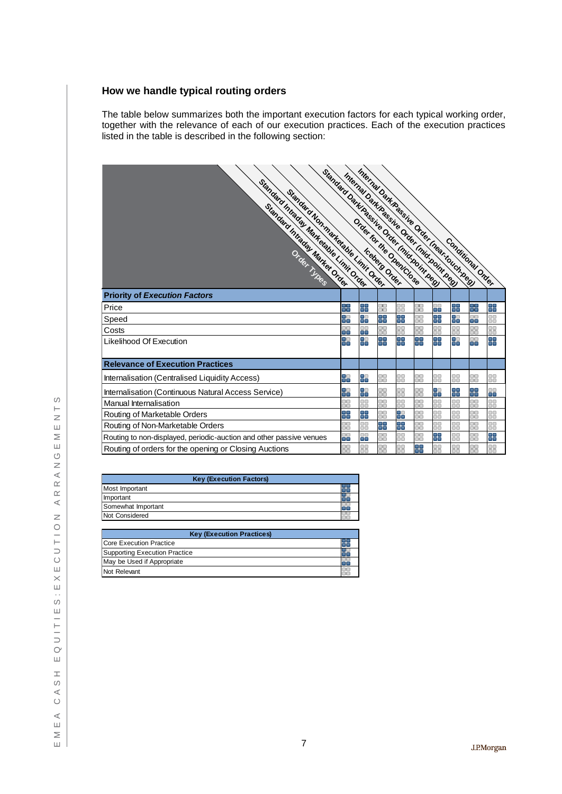## **How we handle typical routing orders**

The table below summarizes both the important execution factors for each typical working order, together with the relevance of each of our execution practices. Each of the execution practices listed in the table is described in the following section:

| Standard Dankhassine Order Iniduound Read<br>Standard Intractor Marketsbie Limit Order<br>Standard Nonmarketable Unit Order |              | Internal Dalk Rassine Order Inear-touch Read<br>Internal Data Raggius Order Inidioperation |           |           |               |          |              | Conditional Order |                  |
|-----------------------------------------------------------------------------------------------------------------------------|--------------|--------------------------------------------------------------------------------------------|-----------|-----------|---------------|----------|--------------|-------------------|------------------|
| <b>Priority of Execution Factors</b>                                                                                        |              |                                                                                            |           |           |               |          |              |                   |                  |
| Price                                                                                                                       | m m<br>n۳    | m (m<br>n٦                                                                                 | 30<br>٦Ō  | oα<br>nā  | ۰o<br>ōō      | 88       | 쁚            | H                 | ÷                |
| Speed                                                                                                                       | œ<br>ŏō      | 55                                                                                         | 옯         | 말         | $\Box$<br>oo  | Ŧ        | 85           | $\Box$<br>۸a      | oο<br>oo         |
| Costs                                                                                                                       | ٦O<br>n۵     | oo<br>o۵                                                                                   | 30<br>ōō  | oo<br>oo  | oo<br>$\Box$  | ٥o<br>nā | oo<br>ŏŏ     | oo<br>$\Box$      | oo<br>nā         |
| Likelihood Of Execution                                                                                                     | oo<br>ō٨     | 88                                                                                         | 5         | O۵<br>m m | 8             | 55       | o٥<br>m m    | oο<br>m m         | 7                |
| <b>Relevance of Execution Practices</b>                                                                                     |              |                                                                                            |           |           |               |          |              |                   |                  |
| Internalisation (Centralised Liquidity Access)                                                                              | oo<br>22     | 88                                                                                         | 88        | oo<br>oō  | oo<br>oo      | 88       | 00<br>oo     | 88                | 88               |
| Internalisation (Continuous Natural Access Service)                                                                         | oo<br>۲E     | O۰<br>ō٥                                                                                   | ٥o<br>٦O  | oo<br>oo  | $\Box$<br>oo  | Ŧ        | oα<br>œ      | o<br>ō۵           | 88               |
| <b>Manual Internalisation</b>                                                                                               | no           | oo<br>$\Box$                                                                               | ٥o<br>no  | oo<br>no  | oo<br>na      | oo<br>٦O | oo<br>ΠO     | oo<br>٦O          | oo<br>$\Box$     |
| Routing of Marketable Orders                                                                                                | ۸Œ<br>٣F     | 85                                                                                         | oo<br>n a | ٦,        | $\Box$<br>8 O | 88       | 00<br>$\Box$ | 00<br>na          | $\Box$<br>$\Box$ |
| Routing of Non-Marketable Orders                                                                                            | oo<br>$\Box$ | oo<br>00                                                                                   | ۳J)       | æ         | 88            | 88       | 00<br>oo     | $\Box$<br>00      | 88               |
| Routing to non-displayed, periodic-auction and other passive venues                                                         | 88           | $\Box$<br>۸×                                                                               | 88        | OΟ<br>ōō  | oo<br>oō      | ٣J       | oo<br>ōō     | OΟ<br>ōō          | 띩                |
| Routing of orders for the opening or Closing Auctions                                                                       | oo<br>nn     | oo<br>ōο                                                                                   | 88        | OΟ<br>ō٥  | 8             | 88       | oo<br>٦ō     | OΟ<br>ōō          | 88               |

| <b>Key (Execution Factors)</b> |  |
|--------------------------------|--|
| Most Important                 |  |
| Important                      |  |
| Somewhat Important             |  |
| Not Considered                 |  |

| <b>Key (Execution Practices)</b> |  |  |  |
|----------------------------------|--|--|--|
| Core Execution Practice          |  |  |  |
| Supporting Execution Practice    |  |  |  |
| May be Used if Appropriate       |  |  |  |
| Not Relevant                     |  |  |  |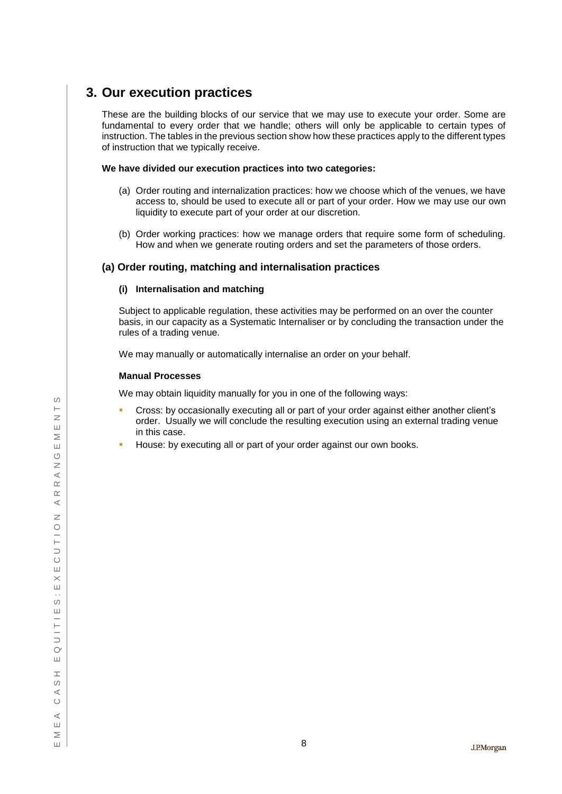## <span id="page-9-0"></span>**3. Our execution practices**

These are the building blocks of our service that we may use to execute your order. Some are fundamental to every order that we handle; others will only be applicable to certain types of instruction. The tables in the previous section show how these practices apply to the different types of instruction that we typically receive.

### **We have divided our execution practices into two categories:**

- (a) Order routing and internalization practices: how we choose which of the venues, we have access to, should be used to execute all or part of your order. How we may use our own liquidity to execute part of your order at our discretion.
- (b) Order working practices: how we manage orders that require some form of scheduling. How and when we generate routing orders and set the parameters of those orders.

## **(a) Order routing, matching and internalisation practices**

## **(i) Internalisation and matching**

Subject to applicable regulation, these activities may be performed on an over the counter basis, in our capacity as a Systematic Internaliser or by concluding the transaction under the rules of a trading venue.

We may manually or automatically internalise an order on your behalf.

## **Manual Processes**

We may obtain liquidity manually for you in one of the following ways:

- Cross: by occasionally executing all or part of your order against either another client's order. Usually we will conclude the resulting execution using an external trading venue in this case.
- House: by executing all or part of your order against our own books.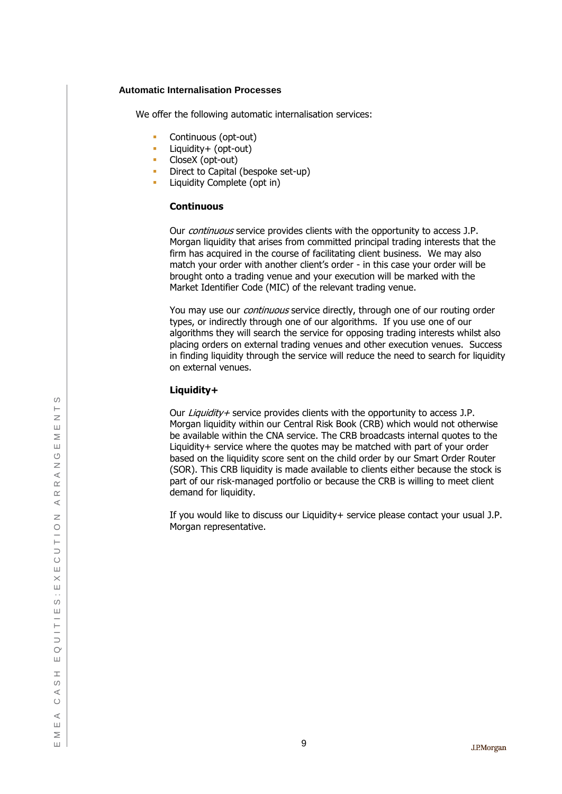#### **Automatic Internalisation Processes**

We offer the following automatic internalisation services:

- **Continuous (opt-out)**
- **Liquidity+ (opt-out)**
- **CloseX** (opt-out)
- **Direct to Capital (bespoke set-up)**
- **Liquidity Complete (opt in)**

#### **Continuous**

Our *continuous* service provides clients with the opportunity to access J.P. Morgan liquidity that arises from committed principal trading interests that the firm has acquired in the course of facilitating client business. We may also match your order with another client's order - in this case your order will be brought onto a trading venue and your execution will be marked with the Market Identifier Code (MIC) of the relevant trading venue.

You may use our *continuous* service directly, through one of our routing order types, or indirectly through one of our algorithms. If you use one of our algorithms they will search the service for opposing trading interests whilst also placing orders on external trading venues and other execution venues. Success in finding liquidity through the service will reduce the need to search for liquidity on external venues.

## **Liquidity+**

Our *Liquidity+* service provides clients with the opportunity to access J.P. Morgan liquidity within our Central Risk Book (CRB) which would not otherwise be available within the CNA service. The CRB broadcasts internal quotes to the Liquidity+ service where the quotes may be matched with part of your order based on the liquidity score sent on the child order by our Smart Order Router (SOR). This CRB liquidity is made available to clients either because the stock is part of our risk-managed portfolio or because the CRB is willing to meet client demand for liquidity.

If you would like to discuss our Liquidity+ service please contact your usual J.P. Morgan representative.

 $\circ$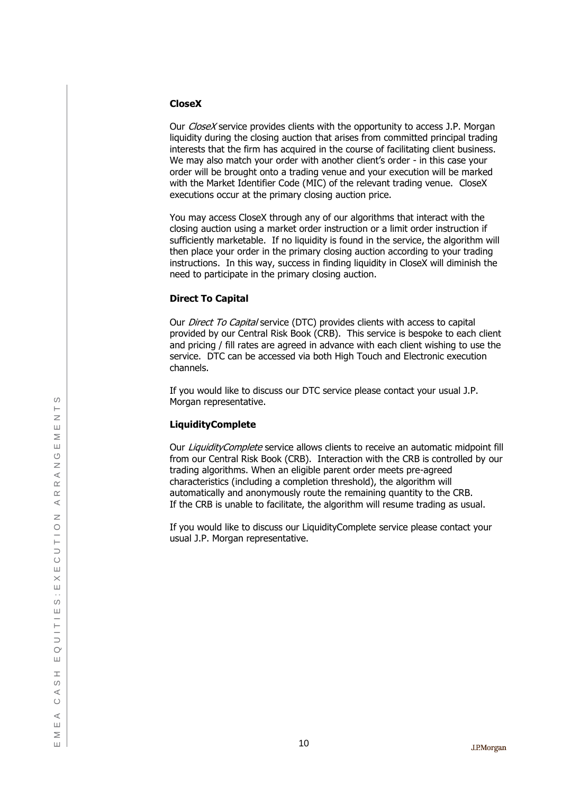## **Close X**

Our *CloseX* service provides clients with the opportunity to access J.P. Morgan liquidity during the closing auction that arises from committed principal trading interests that the firm has acquired in the course of facilitating client business. We may also match your order with another client's order - in this case your order will be brought onto a trading venue and your execution will be marked with the Market Identifier Code (MIC) of the relevant trading venue. Close X executions occur at the primary closing auction price.

You may access Close X through any of our algorithms that interact with the closing auction using a market order instruction or a limit order instruction if sufficiently marketable. If no liquidity is found in the service, the algorithm will then place your order in the primary closing auction according to your trading instructions. In this way, success in finding liquidity in Close X will diminish the need to participate in the primary closing auction.

## **Direct To Capital**

Our *Direct To Capital* service (DTC) provides clients with access to capital provided by our Central Risk Book (CRB). This service is bespoke to each client and pricing / fill rates are agreed in advance with each client wishing to use the service . DTC can be accessed via both High Touch and Electronic execution channels.

If you would like to discuss our DTC service please contact your usual J.P. Morgan representative.

## **LiquidityComplete**

Our LiquidityComplete service allows clients to receive an automatic midpoint fill from our Central Risk Book (CRB). Interaction with the CRB is controlled by our trading algorithms . When an eligible parent order meets pre -agreed characteristics (including a completion threshold), the algorithm will automatically and anonymously route the remaining quantity to the CRB. If the CRB is unable to facilitate, the algorithm will resume trading as usual .

If you would like to discuss our LiquidityComplete service please contact your usual J.P. Morgan representative.

 $\circ$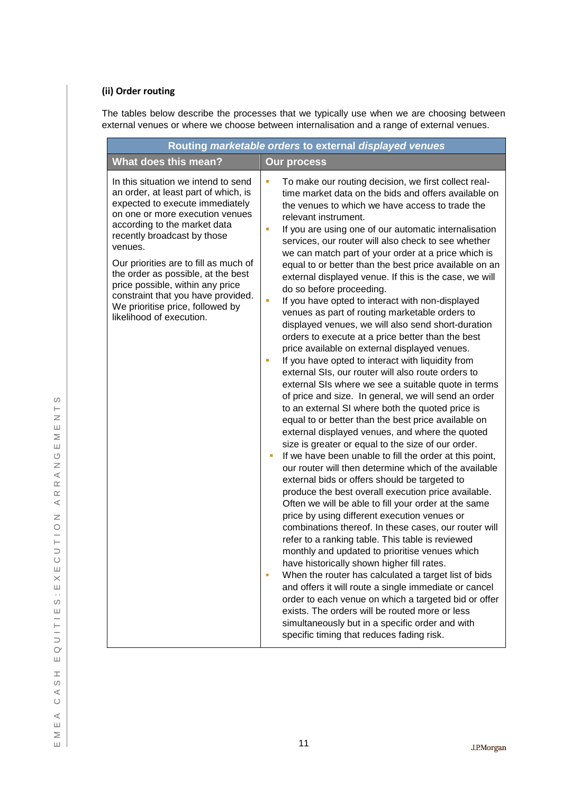## **(ii) Order routing**

The tables below describe the processes that we typically use when we are choosing between external venues or where we choose between internalisation and a range of external venues.

|                                                                                                                                                                                                                             | Routing marketable orders to external displayed venues                                                                                                                                                                                                                                                                                                                                                                                                                                                                                                                                                                                                                                                                                                                                                                                                                                                                                                                                           |
|-----------------------------------------------------------------------------------------------------------------------------------------------------------------------------------------------------------------------------|--------------------------------------------------------------------------------------------------------------------------------------------------------------------------------------------------------------------------------------------------------------------------------------------------------------------------------------------------------------------------------------------------------------------------------------------------------------------------------------------------------------------------------------------------------------------------------------------------------------------------------------------------------------------------------------------------------------------------------------------------------------------------------------------------------------------------------------------------------------------------------------------------------------------------------------------------------------------------------------------------|
| <b>What does this mean?</b>                                                                                                                                                                                                 | <b>Our process</b>                                                                                                                                                                                                                                                                                                                                                                                                                                                                                                                                                                                                                                                                                                                                                                                                                                                                                                                                                                               |
| In this situation we intend to send<br>an order, at least part of which, is<br>expected to execute immediately<br>on one or more execution venues<br>according to the market data<br>recently broadcast by those<br>venues. | To make our routing decision, we first collect real-<br>×<br>time market data on the bids and offers available on<br>the venues to which we have access to trade the<br>relevant instrument.<br>If you are using one of our automatic internalisation<br>п<br>services, our router will also check to see whether<br>we can match part of your order at a price which is                                                                                                                                                                                                                                                                                                                                                                                                                                                                                                                                                                                                                         |
| Our priorities are to fill as much of<br>the order as possible, at the best<br>price possible, within any price<br>constraint that you have provided.<br>We prioritise price, followed by<br>likelihood of execution.       | equal to or better than the best price available on an<br>external displayed venue. If this is the case, we will<br>do so before proceeding.<br>If you have opted to interact with non-displayed<br>a,<br>venues as part of routing marketable orders to<br>displayed venues, we will also send short-duration<br>orders to execute at a price better than the best<br>price available on external displayed venues.<br>If you have opted to interact with liquidity from<br>п<br>external SIs, our router will also route orders to<br>external SIs where we see a suitable quote in terms<br>of price and size. In general, we will send an order<br>to an external SI where both the quoted price is<br>equal to or better than the best price available on<br>external displayed venues, and where the quoted<br>size is greater or equal to the size of our order.<br>If we have been unable to fill the order at this point,<br>ш<br>our router will then determine which of the available |
|                                                                                                                                                                                                                             | external bids or offers should be targeted to<br>produce the best overall execution price available.<br>Often we will be able to fill your order at the same<br>price by using different execution venues or<br>combinations thereof. In these cases, our router will<br>refer to a ranking table. This table is reviewed<br>monthly and updated to prioritise venues which<br>have historically shown higher fill rates.<br>When the router has calculated a target list of bids<br>and offers it will route a single immediate or cancel<br>order to each venue on which a targeted bid or offer<br>exists. The orders will be routed more or less<br>simultaneously but in a specific order and with<br>specific timing that reduces fading risk.                                                                                                                                                                                                                                             |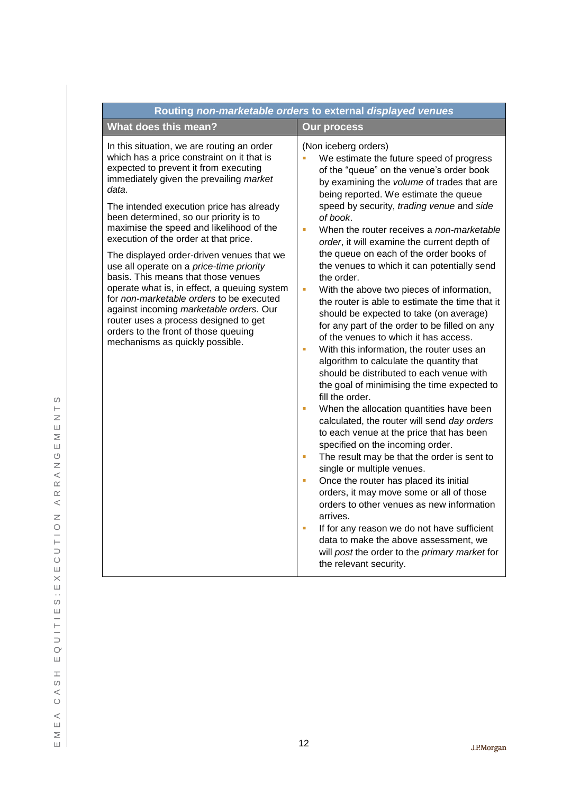| Routing non-marketable orders to external displayed venues                                                                                                                                                                                                                                                                                                                              |                                                                                                                                                                                                                                                                                                                                                                                                                                                                                                                                                                                                                                                                                                                                                                                                                                                                                                                                                                                                                                                                                                                                                                                       |  |  |  |  |  |
|-----------------------------------------------------------------------------------------------------------------------------------------------------------------------------------------------------------------------------------------------------------------------------------------------------------------------------------------------------------------------------------------|---------------------------------------------------------------------------------------------------------------------------------------------------------------------------------------------------------------------------------------------------------------------------------------------------------------------------------------------------------------------------------------------------------------------------------------------------------------------------------------------------------------------------------------------------------------------------------------------------------------------------------------------------------------------------------------------------------------------------------------------------------------------------------------------------------------------------------------------------------------------------------------------------------------------------------------------------------------------------------------------------------------------------------------------------------------------------------------------------------------------------------------------------------------------------------------|--|--|--|--|--|
| What does this mean?                                                                                                                                                                                                                                                                                                                                                                    | <b>Our process</b>                                                                                                                                                                                                                                                                                                                                                                                                                                                                                                                                                                                                                                                                                                                                                                                                                                                                                                                                                                                                                                                                                                                                                                    |  |  |  |  |  |
| In this situation, we are routing an order<br>which has a price constraint on it that is<br>expected to prevent it from executing<br>immediately given the prevailing market<br>data.<br>The intended execution price has already                                                                                                                                                       | (Non iceberg orders)<br>We estimate the future speed of progress<br>of the "queue" on the venue's order book<br>by examining the volume of trades that are<br>being reported. We estimate the queue<br>speed by security, trading venue and side                                                                                                                                                                                                                                                                                                                                                                                                                                                                                                                                                                                                                                                                                                                                                                                                                                                                                                                                      |  |  |  |  |  |
| been determined, so our priority is to<br>maximise the speed and likelihood of the<br>execution of the order at that price.                                                                                                                                                                                                                                                             | of book.<br>When the router receives a non-marketable<br>à,<br>order, it will examine the current depth of                                                                                                                                                                                                                                                                                                                                                                                                                                                                                                                                                                                                                                                                                                                                                                                                                                                                                                                                                                                                                                                                            |  |  |  |  |  |
| The displayed order-driven venues that we<br>use all operate on a price-time priority<br>basis. This means that those venues<br>operate what is, in effect, a queuing system<br>for non-marketable orders to be executed<br>against incoming marketable orders. Our<br>router uses a process designed to get<br>orders to the front of those queuing<br>mechanisms as quickly possible. | the queue on each of the order books of<br>the venues to which it can potentially send<br>the order.<br>ù.<br>With the above two pieces of information,<br>the router is able to estimate the time that it<br>should be expected to take (on average)<br>for any part of the order to be filled on any<br>of the venues to which it has access.<br>With this information, the router uses an<br>I.<br>algorithm to calculate the quantity that<br>should be distributed to each venue with<br>the goal of minimising the time expected to<br>fill the order.<br>When the allocation quantities have been<br>$\blacksquare$<br>calculated, the router will send day orders<br>to each venue at the price that has been<br>specified on the incoming order.<br>The result may be that the order is sent to<br>ш<br>single or multiple venues.<br>Once the router has placed its initial<br>Ű,<br>orders, it may move some or all of those<br>orders to other venues as new information<br>arrives.<br>If for any reason we do not have sufficient<br>$\blacksquare$<br>data to make the above assessment, we<br>will post the order to the primary market for<br>the relevant security. |  |  |  |  |  |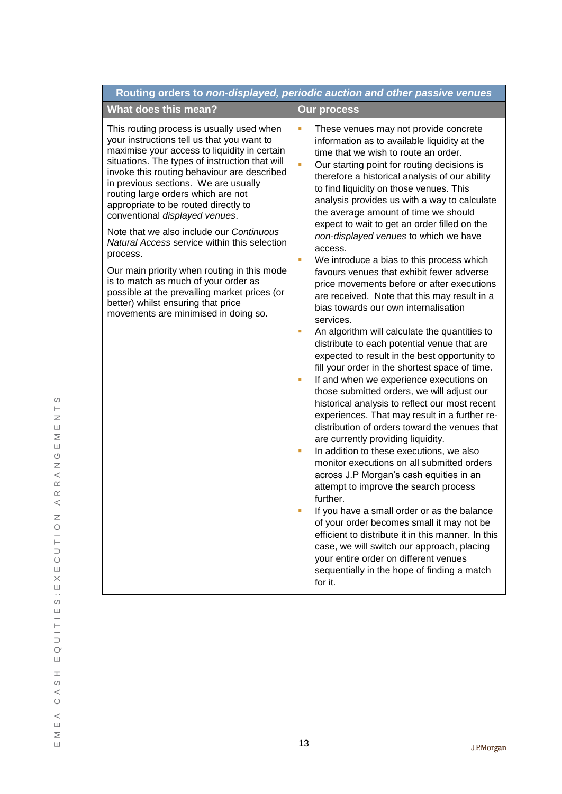|                                                                                                                                                                                                                                                                                                                                                                                                                                                                                                                                                                                                                                                                                                                               | Routing orders to non-displayed, periodic auction and other passive venues                                                                                                                                                                                                                                                                                                                                                                                                                                                                                                                                                                                                                                                                                                                                                                                                                                                                                                                                                                                                                                                                                                                                                                                                                                                                                                                                                                                                                                                                                                                                                                                                                                                               |
|-------------------------------------------------------------------------------------------------------------------------------------------------------------------------------------------------------------------------------------------------------------------------------------------------------------------------------------------------------------------------------------------------------------------------------------------------------------------------------------------------------------------------------------------------------------------------------------------------------------------------------------------------------------------------------------------------------------------------------|------------------------------------------------------------------------------------------------------------------------------------------------------------------------------------------------------------------------------------------------------------------------------------------------------------------------------------------------------------------------------------------------------------------------------------------------------------------------------------------------------------------------------------------------------------------------------------------------------------------------------------------------------------------------------------------------------------------------------------------------------------------------------------------------------------------------------------------------------------------------------------------------------------------------------------------------------------------------------------------------------------------------------------------------------------------------------------------------------------------------------------------------------------------------------------------------------------------------------------------------------------------------------------------------------------------------------------------------------------------------------------------------------------------------------------------------------------------------------------------------------------------------------------------------------------------------------------------------------------------------------------------------------------------------------------------------------------------------------------------|
| What does this mean?                                                                                                                                                                                                                                                                                                                                                                                                                                                                                                                                                                                                                                                                                                          | <b>Our process</b>                                                                                                                                                                                                                                                                                                                                                                                                                                                                                                                                                                                                                                                                                                                                                                                                                                                                                                                                                                                                                                                                                                                                                                                                                                                                                                                                                                                                                                                                                                                                                                                                                                                                                                                       |
| This routing process is usually used when<br>your instructions tell us that you want to<br>maximise your access to liquidity in certain<br>situations. The types of instruction that will<br>invoke this routing behaviour are described<br>in previous sections. We are usually<br>routing large orders which are not<br>appropriate to be routed directly to<br>conventional displayed venues.<br>Note that we also include our Continuous<br>Natural Access service within this selection<br>process.<br>Our main priority when routing in this mode<br>is to match as much of your order as<br>possible at the prevailing market prices (or<br>better) whilst ensuring that price<br>movements are minimised in doing so. | u,<br>These venues may not provide concrete<br>information as to available liquidity at the<br>time that we wish to route an order.<br>ù,<br>Our starting point for routing decisions is<br>therefore a historical analysis of our ability<br>to find liquidity on those venues. This<br>analysis provides us with a way to calculate<br>the average amount of time we should<br>expect to wait to get an order filled on the<br>non-displayed venues to which we have<br>access.<br>ù,<br>We introduce a bias to this process which<br>favours venues that exhibit fewer adverse<br>price movements before or after executions<br>are received. Note that this may result in a<br>bias towards our own internalisation<br>services.<br>An algorithm will calculate the quantities to<br>I.<br>distribute to each potential venue that are<br>expected to result in the best opportunity to<br>fill your order in the shortest space of time.<br>If and when we experience executions on<br>u,<br>those submitted orders, we will adjust our<br>historical analysis to reflect our most recent<br>experiences. That may result in a further re-<br>distribution of orders toward the venues that<br>are currently providing liquidity.<br>In addition to these executions, we also<br>ш<br>monitor executions on all submitted orders<br>across J.P Morgan's cash equities in an<br>attempt to improve the search process<br>further.<br>If you have a small order or as the balance<br>of your order becomes small it may not be<br>efficient to distribute it in this manner. In this<br>case, we will switch our approach, placing<br>your entire order on different venues<br>sequentially in the hope of finding a match<br>for it. |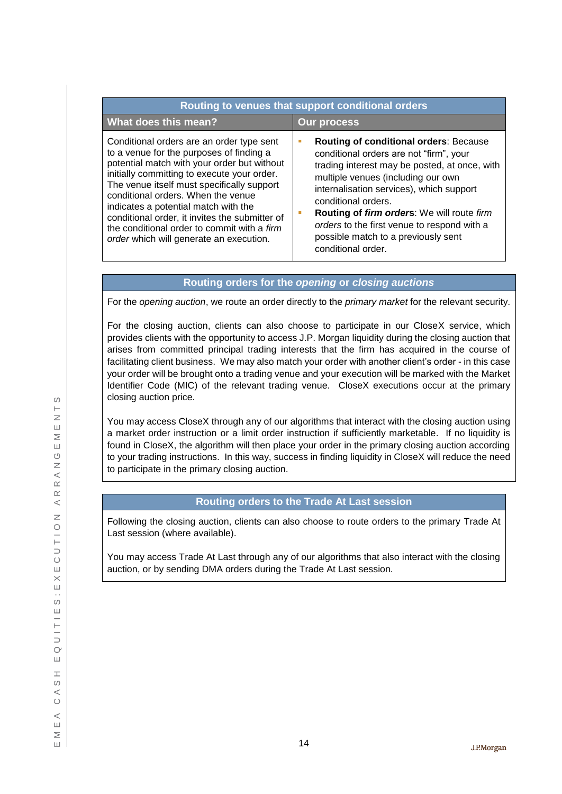| Routing to venues that support conditional orders                                                                                                                                                                                                                                                                                                                                                                                                           |                                                                                                                                                                                                                                                                                                                                                                                                              |  |
|-------------------------------------------------------------------------------------------------------------------------------------------------------------------------------------------------------------------------------------------------------------------------------------------------------------------------------------------------------------------------------------------------------------------------------------------------------------|--------------------------------------------------------------------------------------------------------------------------------------------------------------------------------------------------------------------------------------------------------------------------------------------------------------------------------------------------------------------------------------------------------------|--|
| What does this mean?                                                                                                                                                                                                                                                                                                                                                                                                                                        | <b>Our process</b>                                                                                                                                                                                                                                                                                                                                                                                           |  |
| Conditional orders are an order type sent<br>to a venue for the purposes of finding a<br>potential match with your order but without<br>initially committing to execute your order.<br>The venue itself must specifically support<br>conditional orders. When the venue<br>indicates a potential match with the<br>conditional order, it invites the submitter of<br>the conditional order to commit with a firm<br>order which will generate an execution. | <b>Routing of conditional orders: Because</b><br>conditional orders are not "firm", your<br>trading interest may be posted, at once, with<br>multiple venues (including our own<br>internalisation services), which support<br>conditional orders.<br>Routing of firm orders: We will route firm<br>orders to the first venue to respond with a<br>possible match to a previously sent<br>conditional order. |  |

## **Routing orders for the** *opening* **or** *closing auctions*

For the *opening auction*, we route an order directly to the *primary market* for the relevant security.

For the closing auction, clients can also choose to participate in our CloseX service, which provides clients with the opportunity to access J.P. Morgan liquidity during the closing auction that arises from committed principal trading interests that the firm has acquired in the course of facilitating client business. We may also match your order with another client's order - in this case your order will be brought onto a trading venue and your execution will be marked with the Market Identifier Code (MIC) of the relevant trading venue. CloseX executions occur at the primary closing auction price.

You may access CloseX through any of our algorithms that interact with the closing auction using a market order instruction or a limit order instruction if sufficiently marketable. If no liquidity is found in CloseX, the algorithm will then place your order in the primary closing auction according to your trading instructions. In this way, success in finding liquidity in CloseX will reduce the need to participate in the primary closing auction.

## **Routing orders to the Trade At Last session**

Following the closing auction, clients can also choose to route orders to the primary Trade At Last session (where available).

You may access Trade At Last through any of our algorithms that also interact with the closing auction, or by sending DMA orders during the Trade At Last session.

 $\circ$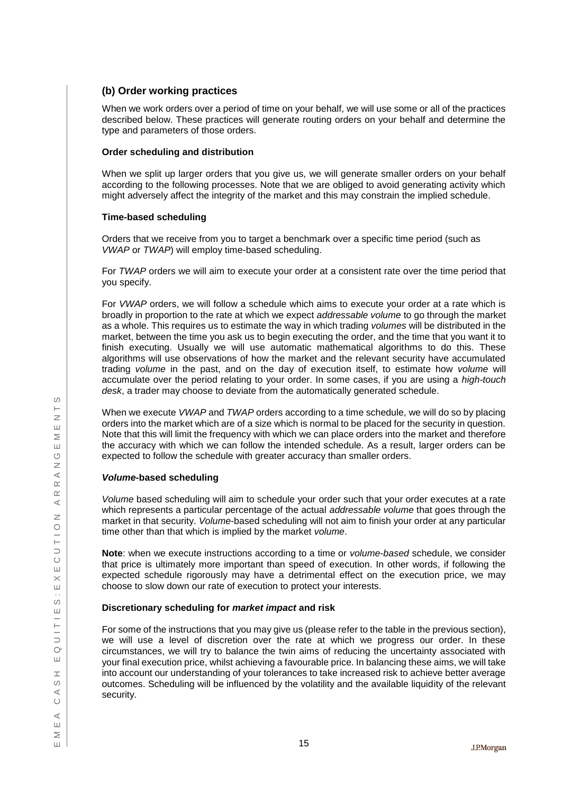## **(b) Order working practices**

When we work orders over a period of time on your behalf, we will use some or all of the practices described below. These practices will generate routing orders on your behalf and determine the type and parameters of those orders.

## **Order scheduling and distribution**

When we split up larger orders that you give us, we will generate smaller orders on your behalf according to the following processes. Note that we are obliged to avoid generating activity which might adversely affect the integrity of the market and this may constrain the implied schedule.

## **Time-based scheduling**

Orders that we receive from you to target a benchmark over a specific time period (such as *VWAP* or *TWAP*) will employ time-based scheduling.

For *TWAP* orders we will aim to execute your order at a consistent rate over the time period that you specify.

For *VWAP* orders, we will follow a schedule which aims to execute your order at a rate which is broadly in proportion to the rate at which we expect *addressable volume* to go through the market as a whole. This requires us to estimate the way in which trading *volumes* will be distributed in the market, between the time you ask us to begin executing the order, and the time that you want it to finish executing. Usually we will use automatic mathematical algorithms to do this. These algorithms will use observations of how the market and the relevant security have accumulated trading *volume* in the past, and on the day of execution itself, to estimate how *volume* will accumulate over the period relating to your order. In some cases, if you are using a *high-touch desk*, a trader may choose to deviate from the automatically generated schedule.

When we execute *VWAP* and *TWAP* orders according to a time schedule, we will do so by placing orders into the market which are of a size which is normal to be placed for the security in question. Note that this will limit the frequency with which we can place orders into the market and therefore the accuracy with which we can follow the intended schedule. As a result, larger orders can be expected to follow the schedule with greater accuracy than smaller orders.

## *Volume***-based scheduling**

*Volume* based scheduling will aim to schedule your order such that your order executes at a rate which represents a particular percentage of the actual *addressable volume* that goes through the market in that security. *Volume*-based scheduling will not aim to finish your order at any particular time other than that which is implied by the market *volume*.

**Note**: when we execute instructions according to a time or *volume*-*based* schedule, we consider that price is ultimately more important than speed of execution. In other words, if following the expected schedule rigorously may have a detrimental effect on the execution price, we may choose to slow down our rate of execution to protect your interests.

## **Discretionary scheduling for** *market impact* **and risk**

For some of the instructions that you may give us (please refer to the table in the previous section), we will use a level of discretion over the rate at which we progress our order. In these circumstances, we will try to balance the twin aims of reducing the uncertainty associated with your final execution price, whilst achieving a favourable price. In balancing these aims, we will take into account our understanding of your tolerances to take increased risk to achieve better average outcomes. Scheduling will be influenced by the volatility and the available liquidity of the relevant security.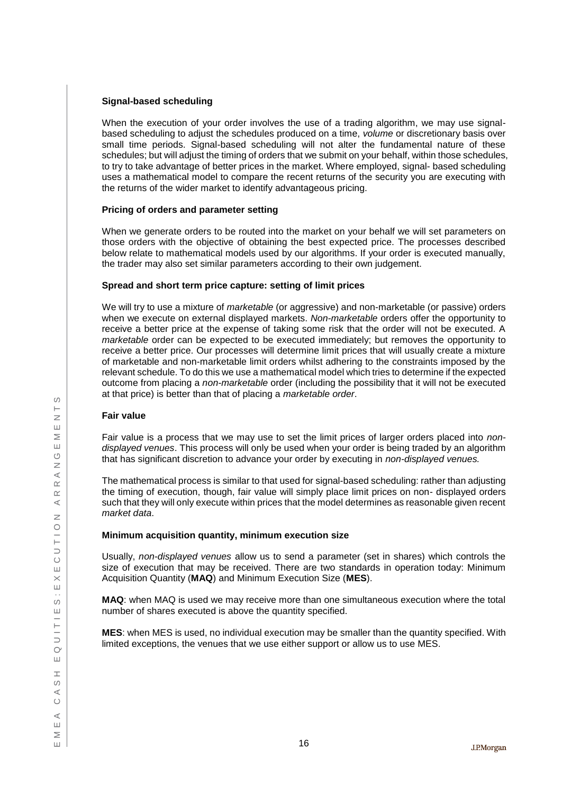### **Signal-based scheduling**

When the execution of your order involves the use of a trading algorithm, we may use signalbased scheduling to adjust the schedules produced on a time, *volume* or discretionary basis over small time periods. Signal-based scheduling will not alter the fundamental nature of these schedules; but will adjust the timing of orders that we submit on your behalf, within those schedules, to try to take advantage of better prices in the market. Where employed, signal- based scheduling uses a mathematical model to compare the recent returns of the security you are executing with the returns of the wider market to identify advantageous pricing.

#### **Pricing of orders and parameter setting**

When we generate orders to be routed into the market on your behalf we will set parameters on those orders with the objective of obtaining the best expected price. The processes described below relate to mathematical models used by our algorithms. If your order is executed manually, the trader may also set similar parameters according to their own judgement.

#### **Spread and short term price capture: setting of limit prices**

We will try to use a mixture of *marketable* (or aggressive) and non-marketable (or passive) orders when we execute on external displayed markets. *Non-marketable* orders offer the opportunity to receive a better price at the expense of taking some risk that the order will not be executed. A *marketable* order can be expected to be executed immediately; but removes the opportunity to receive a better price. Our processes will determine limit prices that will usually create a mixture of marketable and non-marketable limit orders whilst adhering to the constraints imposed by the relevant schedule. To do this we use a mathematical model which tries to determine if the expected outcome from placing a *non-marketable* order (including the possibility that it will not be executed at that price) is better than that of placing a *marketable order*.

#### **Fair value**

Fair value is a process that we may use to set the limit prices of larger orders placed into *nondisplayed venues*. This process will only be used when your order is being traded by an algorithm that has significant discretion to advance your order by executing in *non-displayed venues.*

The mathematical process is similar to that used for signal-based scheduling: rather than adjusting the timing of execution, though, fair value will simply place limit prices on non- displayed orders such that they will only execute within prices that the model determines as reasonable given recent *market data*.

## **Minimum acquisition quantity, minimum execution size**

Usually, *non-displayed venues* allow us to send a parameter (set in shares) which controls the size of execution that may be received. There are two standards in operation today: Minimum Acquisition Quantity (**MAQ**) and Minimum Execution Size (**MES**).

**MAQ**: when MAQ is used we may receive more than one simultaneous execution where the total number of shares executed is above the quantity specified.

**MES**: when MES is used, no individual execution may be smaller than the quantity specified. With limited exceptions, the venues that we use either support or allow us to use MES.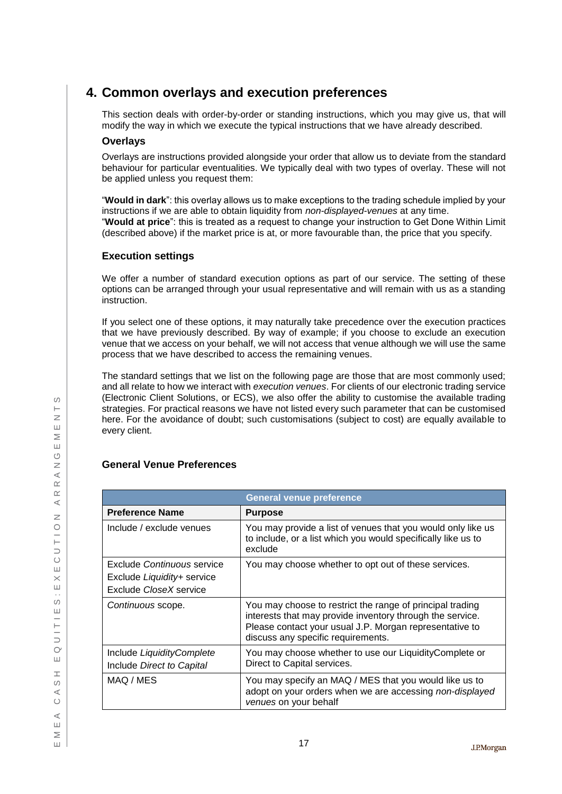# <span id="page-18-0"></span>**4. Common overlays and execution preferences**

This section deals with order-by-order or standing instructions, which you may give us, that will modify the way in which we execute the typical instructions that we have already described.

## **Overlays**

Overlays are instructions provided alongside your order that allow us to deviate from the standard behaviour for particular eventualities. We typically deal with two types of overlay. These will not be applied unless you request them:

"**Would in dark**": this overlay allows us to make exceptions to the trading schedule implied by your instructions if we are able to obtain liquidity from *non-displayed-venues* at any time. "**Would at price**": this is treated as a request to change your instruction to Get Done Within Limit (described above) if the market price is at, or more favourable than, the price that you specify.

## **Execution settings**

We offer a number of standard execution options as part of our service. The setting of these options can be arranged through your usual representative and will remain with us as a standing instruction.

If you select one of these options, it may naturally take precedence over the execution practices that we have previously described. By way of example; if you choose to exclude an execution venue that we access on your behalf, we will not access that venue although we will use the same process that we have described to access the remaining venues.

The standard settings that we list on the following page are those that are most commonly used; and all relate to how we interact with *execution venues*. For clients of our electronic trading service (Electronic Client Solutions, or ECS), we also offer the ability to customise the available trading strategies. For practical reasons we have not listed every such parameter that can be customised here. For the avoidance of doubt; such customisations (subject to cost) are equally available to every client.

## **General Venue Preferences**

| <b>General venue preference</b>                        |                                                                                                                                                                                                                         |  |
|--------------------------------------------------------|-------------------------------------------------------------------------------------------------------------------------------------------------------------------------------------------------------------------------|--|
| <b>Preference Name</b>                                 | <b>Purpose</b>                                                                                                                                                                                                          |  |
| Include / exclude venues                               | You may provide a list of venues that you would only like us<br>to include, or a list which you would specifically like us to<br>exclude                                                                                |  |
| Exclude Continuous service                             | You may choose whether to opt out of these services.                                                                                                                                                                    |  |
| Exclude Liquidity+ service                             |                                                                                                                                                                                                                         |  |
| Exclude CloseX service                                 |                                                                                                                                                                                                                         |  |
| Continuous scope.                                      | You may choose to restrict the range of principal trading<br>interests that may provide inventory through the service.<br>Please contact your usual J.P. Morgan representative to<br>discuss any specific requirements. |  |
| Include LiquidityComplete<br>Include Direct to Capital | You may choose whether to use our Liquidity Complete or<br>Direct to Capital services.                                                                                                                                  |  |
| MAQ / MES                                              | You may specify an MAQ / MES that you would like us to<br>adopt on your orders when we are accessing non-displayed<br>venues on your behalf                                                                             |  |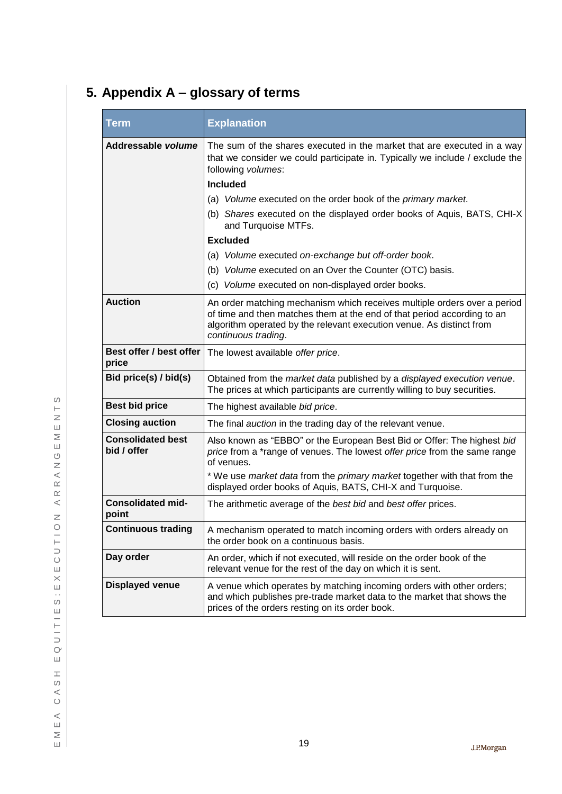# <span id="page-20-0"></span>**5. Appendix A – glossary of terms**

| <b>Term</b>                             | <b>Explanation</b>                                                                                                                                                                                                                                 |
|-----------------------------------------|----------------------------------------------------------------------------------------------------------------------------------------------------------------------------------------------------------------------------------------------------|
| Addressable volume                      | The sum of the shares executed in the market that are executed in a way<br>that we consider we could participate in. Typically we include / exclude the<br>following volumes:                                                                      |
|                                         | <b>Included</b>                                                                                                                                                                                                                                    |
|                                         | (a) Volume executed on the order book of the primary market.                                                                                                                                                                                       |
|                                         | (b) Shares executed on the displayed order books of Aquis, BATS, CHI-X<br>and Turquoise MTFs.                                                                                                                                                      |
|                                         | <b>Excluded</b>                                                                                                                                                                                                                                    |
|                                         | (a) Volume executed on-exchange but off-order book.                                                                                                                                                                                                |
|                                         | (b) Volume executed on an Over the Counter (OTC) basis.                                                                                                                                                                                            |
|                                         | (c) Volume executed on non-displayed order books.                                                                                                                                                                                                  |
| <b>Auction</b>                          | An order matching mechanism which receives multiple orders over a period<br>of time and then matches them at the end of that period according to an<br>algorithm operated by the relevant execution venue. As distinct from<br>continuous trading. |
| Best offer / best offer<br>price        | The lowest available offer price.                                                                                                                                                                                                                  |
| Bid price(s) / bid(s)                   | Obtained from the market data published by a displayed execution venue.<br>The prices at which participants are currently willing to buy securities.                                                                                               |
| <b>Best bid price</b>                   | The highest available bid price.                                                                                                                                                                                                                   |
| <b>Closing auction</b>                  | The final auction in the trading day of the relevant venue.                                                                                                                                                                                        |
| <b>Consolidated best</b><br>bid / offer | Also known as "EBBO" or the European Best Bid or Offer: The highest bid<br>price from a *range of venues. The lowest offer price from the same range<br>of venues.                                                                                 |
|                                         | * We use market data from the primary market together with that from the<br>displayed order books of Aquis, BATS, CHI-X and Turquoise.                                                                                                             |
| <b>Consolidated mid-</b><br>point       | The arithmetic average of the best bid and best offer prices.                                                                                                                                                                                      |
| <b>Continuous trading</b>               | A mechanism operated to match incoming orders with orders already on<br>the order book on a continuous basis.                                                                                                                                      |
| Day order                               | An order, which if not executed, will reside on the order book of the<br>relevant venue for the rest of the day on which it is sent.                                                                                                               |
| <b>Displayed venue</b>                  | A venue which operates by matching incoming orders with other orders;<br>and which publishes pre-trade market data to the market that shows the<br>prices of the orders resting on its order book.                                                 |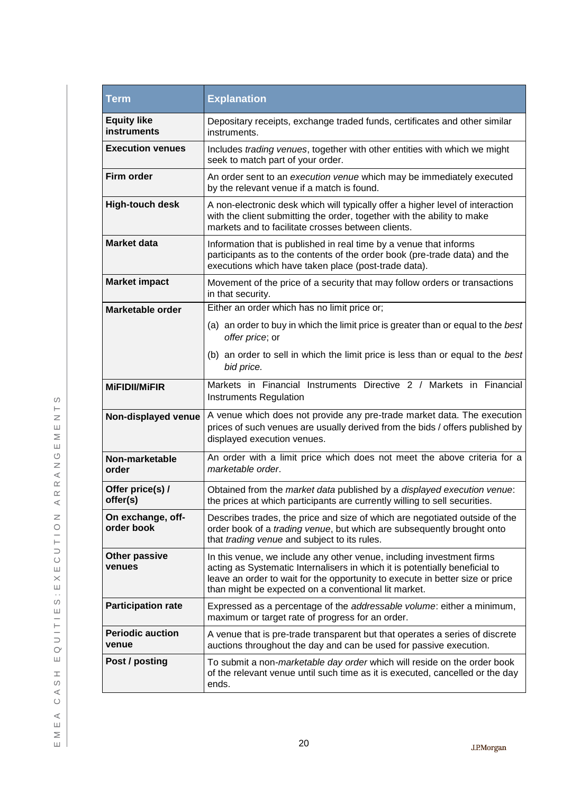| Term                              | <b>Explanation</b>                                                                                                                                                                                                                                                                            |
|-----------------------------------|-----------------------------------------------------------------------------------------------------------------------------------------------------------------------------------------------------------------------------------------------------------------------------------------------|
| <b>Equity like</b><br>instruments | Depositary receipts, exchange traded funds, certificates and other similar<br>instruments.                                                                                                                                                                                                    |
| <b>Execution venues</b>           | Includes trading venues, together with other entities with which we might<br>seek to match part of your order.                                                                                                                                                                                |
| <b>Firm order</b>                 | An order sent to an execution venue which may be immediately executed<br>by the relevant venue if a match is found.                                                                                                                                                                           |
| <b>High-touch desk</b>            | A non-electronic desk which will typically offer a higher level of interaction<br>with the client submitting the order, together with the ability to make<br>markets and to facilitate crosses between clients.                                                                               |
| <b>Market data</b>                | Information that is published in real time by a venue that informs<br>participants as to the contents of the order book (pre-trade data) and the<br>executions which have taken place (post-trade data).                                                                                      |
| <b>Market impact</b>              | Movement of the price of a security that may follow orders or transactions<br>in that security.                                                                                                                                                                                               |
| <b>Marketable order</b>           | Either an order which has no limit price or;                                                                                                                                                                                                                                                  |
|                                   | (a) an order to buy in which the limit price is greater than or equal to the best<br>offer price; or                                                                                                                                                                                          |
|                                   | (b) an order to sell in which the limit price is less than or equal to the best<br>bid price.                                                                                                                                                                                                 |
| <b>MIFIDII/MIFIR</b>              | Markets in Financial Instruments Directive 2 / Markets in Financial<br>Instruments Regulation                                                                                                                                                                                                 |
| Non-displayed venue               | A venue which does not provide any pre-trade market data. The execution<br>prices of such venues are usually derived from the bids / offers published by<br>displayed execution venues.                                                                                                       |
| Non-marketable<br>order           | An order with a limit price which does not meet the above criteria for a<br>marketable order.                                                                                                                                                                                                 |
| Offer price(s) /<br>offer(s)      | Obtained from the market data published by a displayed execution venue:<br>the prices at which participants are currently willing to sell securities.                                                                                                                                         |
| On exchange, off-<br>order book   | Describes trades, the price and size of which are negotiated outside of the<br>order book of a trading venue, but which are subsequently brought onto<br>that trading venue and subject to its rules.                                                                                         |
| <b>Other passive</b><br>venues    | In this venue, we include any other venue, including investment firms<br>acting as Systematic Internalisers in which it is potentially beneficial to<br>leave an order to wait for the opportunity to execute in better size or price<br>than might be expected on a conventional lit market. |
| <b>Participation rate</b>         | Expressed as a percentage of the addressable volume: either a minimum,<br>maximum or target rate of progress for an order.                                                                                                                                                                    |
| <b>Periodic auction</b><br>venue  | A venue that is pre-trade transparent but that operates a series of discrete<br>auctions throughout the day and can be used for passive execution.                                                                                                                                            |
| Post / posting                    | To submit a non-marketable day order which will reside on the order book<br>of the relevant venue until such time as it is executed, cancelled or the day<br>ends.                                                                                                                            |